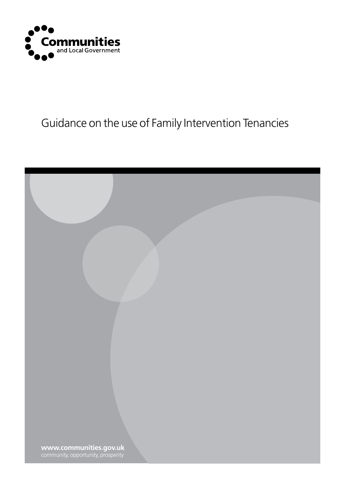

## Guidance on the use of Family Intervention Tenancies

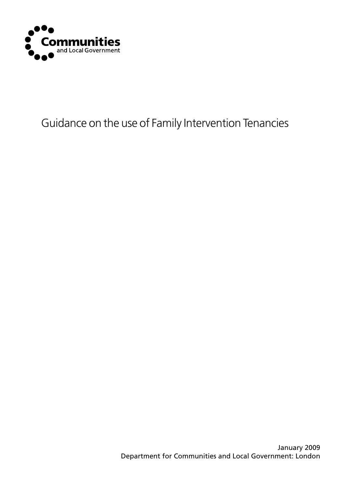

## Guidance on the use of Family Intervention Tenancies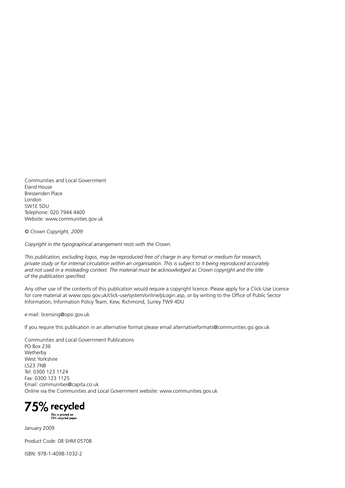Communities and Local Government Eland House Bressenden Place London SW1E 5DU Telephone: 020 7944 4400 Website: www.communities.gov.uk

*© Crown Copyright, 2009*

*Copyright in the typographical arrangement rests with the Crown.*

*This publication, excluding logos, may be reproduced free of charge in any format or medium for research, private study or for internal circulation within an organisation. This is subject to it being reproduced accurately and not used in a misleading context. The material must be acknowledged as Crown copyright and the title of the publication specified.*

Any other use of the contents of this publication would require a copyright licence. Please apply for a Click-Use Licence for core material at www.opsi.gov.uk/click-use/system/online/pLogin.asp, or by writing to the Office of Public Sector Information, Information Policy Team, Kew, Richmond, Surrey TW9 4DU

e-mail: licensing@opsi.gov.uk

If you require this publication in an alternative format please email alternativeformats@communities.gsi.gov.uk

Communities and Local Government Publications PO Box 236 Wetherby West Yorkshire LS23 7NB Tel: 0300 123 1124 Fax: 0300 123 1125 Email: communities@capita.co.uk Online via the Communities and Local Government website: www.communities.gov.uk

75% recycled

This is printed on<br>75% recycled paper

January 2009

Product Code: 08 SHM 05708

ISBN: 978-1-4098-1032-2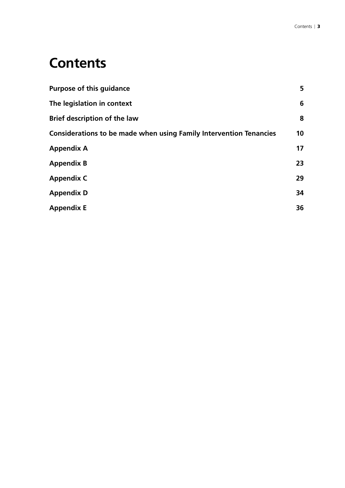# **Contents**

| <b>Purpose of this guidance</b>                                           | 5               |
|---------------------------------------------------------------------------|-----------------|
| The legislation in context                                                | 6               |
| <b>Brief description of the law</b>                                       | 8               |
| <b>Considerations to be made when using Family Intervention Tenancies</b> | 10 <sup>°</sup> |
| <b>Appendix A</b>                                                         | 17              |
| <b>Appendix B</b>                                                         | 23              |
| <b>Appendix C</b>                                                         | 29              |
| <b>Appendix D</b>                                                         | 34              |
| <b>Appendix E</b>                                                         | 36              |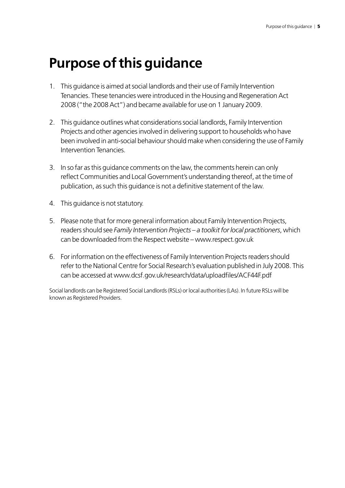# **Purpose of this guidance**

- 1. This guidance is aimed at social landlords and their use of Family Intervention Tenancies. These tenancies were introduced in the Housing and Regeneration Act 2008 ("the 2008 Act") and became available for use on 1 January 2009.
- 2. This guidance outlines what considerations social landlords, Family Intervention Projects and other agencies involved in delivering support to households who have been involved in anti-social behaviour should make when considering the use of Family Intervention Tenancies.
- 3. In so far as this guidance comments on the law, the comments herein can only reflect Communities and Local Government's understanding thereof, at the time of publication, as such this guidance is not a definitive statement of the law.
- 4. This guidance is not statutory.
- 5. Please note that for more general information about Family Intervention Projects, readers should see *Family Intervention Projects – a toolkit for local practitioners*, which can be downloaded from the Respect website – www.respect.gov.uk
- 6. For information on the effectiveness of Family Intervention Projects readers should refer to the National Centre for Social Research's evaluation published in July 2008. This can be accessed at www.dcsf.gov.uk/research/data/uploadfiles/ACF44F.pdf

Social landlords can be Registered Social Landlords (RSLs) or local authorities (LAs). In future RSLs will be known as Registered Providers.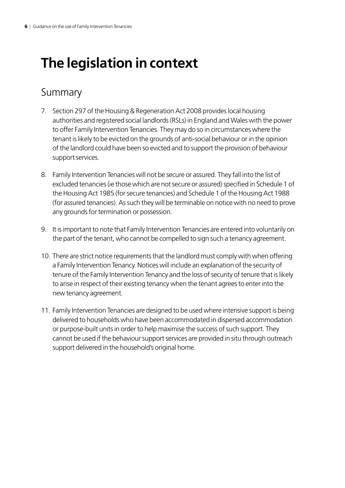# **The legislation in context**

### Summary

- 7. Section 297 of the Housing & Regeneration Act 2008 provides local housing authorities and registered social landlords (RSLs) in England and Wales with the power to offer Family Intervention Tenancies. They may do so in circumstances where the tenant is likely to be evicted on the grounds of anti-social behaviour or in the opinion of the landlord could have been so evicted and to support the provision of behaviour support services.
- 8. Family Intervention Tenancies will not be secure or assured. They fall into the list of excluded tenancies (ie those which are not secure or assured) specified in Schedule 1 of the Housing Act 1985 (for secure tenancies) and Schedule 1 of the Housing Act 1988 (for assured tenancies). As such they will be terminable on notice with no need to prove any grounds for termination or possession.
- 9. It is important to note that Family Intervention Tenancies are entered into voluntarily on the part of the tenant, who cannot be compelled to sign such a tenancy agreement.
- 10. There are strict notice requirements that the landlord must comply with when offering a Family Intervention Tenancy. Notices will include an explanation of the security of tenure of the Family Intervention Tenancy and the loss of security of tenure that is likely to arise in respect of their existing tenancy when the tenant agrees to enter into the new tenancy agreement.
- 11. Family Intervention Tenancies are designed to be used where intensive support is being delivered to households who have been accommodated in dispersed accommodation or purpose-built units in order to help maximise the success of such support. They cannot be used if the behaviour support services are provided in situ through outreach support delivered in the household's original home.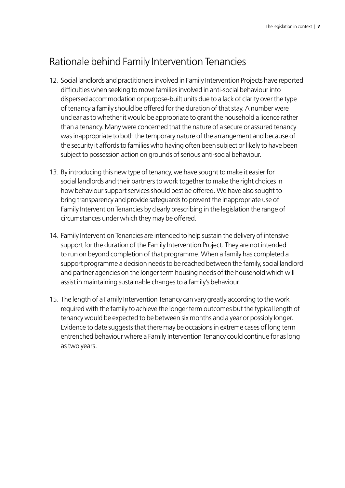## Rationale behind Family Intervention Tenancies

- 12. Social landlords and practitioners involved in Family Intervention Projects have reported difficulties when seeking to move families involved in anti-social behaviour into dispersed accommodation or purpose-built units due to a lack of clarity over the type of tenancy a family should be offered for the duration of that stay. A number were unclear as to whether it would be appropriate to grant the household a licence rather than a tenancy. Many were concerned that the nature of a secure or assured tenancy was inappropriate to both the temporary nature of the arrangement and because of the security it affords to families who having often been subject or likely to have been subject to possession action on grounds of serious anti-social behaviour.
- 13. By introducing this new type of tenancy, we have sought to make it easier for social landlords and their partners to work together to make the right choices in how behaviour support services should best be offered. We have also sought to bring transparency and provide safeguards to prevent the inappropriate use of Family Intervention Tenancies by clearly prescribing in the legislation the range of circumstances under which they may be offered.
- 14. Family Intervention Tenancies are intended to help sustain the delivery of intensive support for the duration of the Family Intervention Project. They are not intended to run on beyond completion of that programme. When a family has completed a support programme a decision needs to be reached between the family, social landlord and partner agencies on the longer term housing needs of the household which will assist in maintaining sustainable changes to a family's behaviour.
- 15. The length of a Family Intervention Tenancy can vary greatly according to the work required with the family to achieve the longer term outcomes but the typical length of tenancy would be expected to be between six months and a year or possibly longer. Evidence to date suggests that there may be occasions in extreme cases of long term entrenched behaviour where a Family Intervention Tenancy could continue for as long as two years.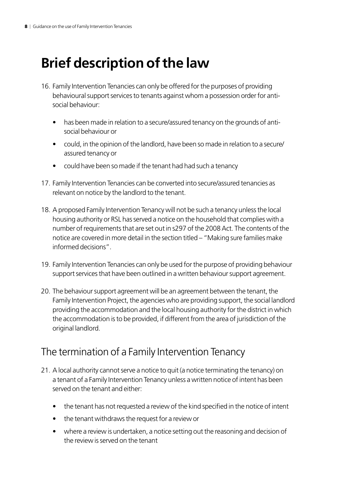# **Brief description of the law**

- 16. Family Intervention Tenancies can only be offered for the purposes of providing behavioural support services to tenants against whom a possession order for antisocial behaviour:
	- has been made in relation to a secure/assured tenancy on the grounds of antisocial behaviour or
	- could, in the opinion of the landlord, have been so made in relation to a secure/ assured tenancy or
	- could have been so made if the tenant had had such a tenancy
- 17. Family Intervention Tenancies can be converted into secure/assured tenancies as relevant on notice by the landlord to the tenant.
- 18. A proposed Family Intervention Tenancy will not be such a tenancy unless the local housing authority or RSL has served a notice on the household that complies with a number of requirements that are set out in s297 of the 2008 Act. The contents of the notice are covered in more detail in the section titled – "Making sure families make informed decisions".
- 19. Family Intervention Tenancies can only be used for the purpose of providing behaviour support services that have been outlined in a written behaviour support agreement.
- 20. The behaviour support agreement will be an agreement between the tenant, the Family Intervention Project, the agencies who are providing support, the social landlord providing the accommodation and the local housing authority for the district in which the accommodation is to be provided, if different from the area of jurisdiction of the original landlord.

### The termination of a Family Intervention Tenancy

- 21. A local authority cannot serve a notice to quit (a notice terminating the tenancy) on a tenant of a Family Intervention Tenancy unless a written notice of intent has been served on the tenant and either:
	- the tenant has not requested a review of the kind specified in the notice of intent
	- the tenant withdraws the request for a review or
	- where a review is undertaken, a notice setting out the reasoning and decision of the review is served on the tenant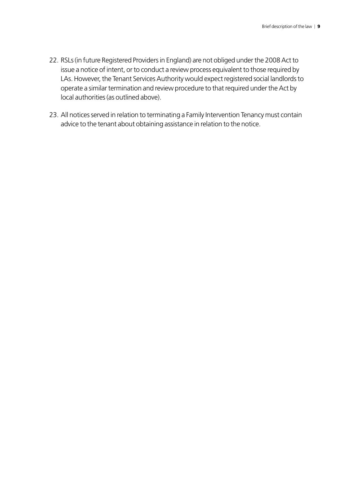- 22. RSLs (in future Registered Providers in England) are not obliged under the 2008 Act to issue a notice of intent, or to conduct a review process equivalent to those required by LAs. However, the Tenant Services Authority would expect registered social landlords to operate a similar termination and review procedure to that required under the Act by local authorities (as outlined above).
- 23. All notices served in relation to terminating a Family Intervention Tenancy must contain advice to the tenant about obtaining assistance in relation to the notice.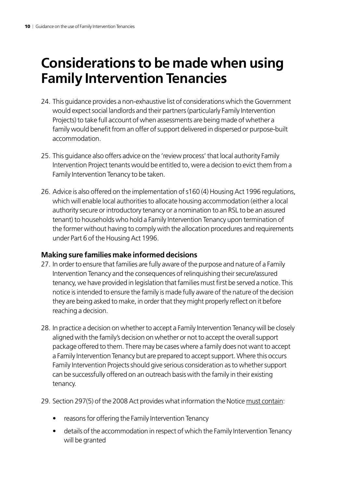# **Considerations to be made when using Family Intervention Tenancies**

- 24. This guidance provides a non-exhaustive list of considerations which the Government would expect social landlords and their partners (particularly Family Intervention Projects) to take full account of when assessments are being made of whether a family would benefit from an offer of support delivered in dispersed or purpose-built accommodation.
- 25. This guidance also offers advice on the 'review process' that local authority Family Intervention Project tenants would be entitled to, were a decision to evict them from a Family Intervention Tenancy to be taken.
- 26. Advice is also offered on the implementation of s160 (4) Housing Act 1996 regulations, which will enable local authorities to allocate housing accommodation (either a local authority secure or introductory tenancy or a nomination to an RSL to be an assured tenant) to households who hold a Family Intervention Tenancy upon termination of the former without having to comply with the allocation procedures and requirements under Part 6 of the Housing Act 1996.

### **Making sure families make informed decisions**

- 27. In order to ensure that families are fully aware of the purpose and nature of a Family Intervention Tenancy and the consequences of relinquishing their secure/assured tenancy, we have provided in legislation that families must first be served a notice. This notice is intended to ensure the family is made fully aware of the nature of the decision they are being asked to make, in order that they might properly reflect on it before reaching a decision.
- 28. In practice a decision on whether to accept a Family Intervention Tenancy will be closely aligned with the family's decision on whether or not to accept the overall support package offered to them. There may be cases where a family does not want to accept a Family Intervention Tenancy but are prepared to accept support. Where this occurs Family Intervention Projects should give serious consideration as to whether support can be successfully offered on an outreach basis with the family in their existing tenancy.
- 29. Section 297(5) of the 2008 Act provides what information the Notice must contain:
	- reasons for offering the Family Intervention Tenancy
	- details of the accommodation in respect of which the Family Intervention Tenancy will be granted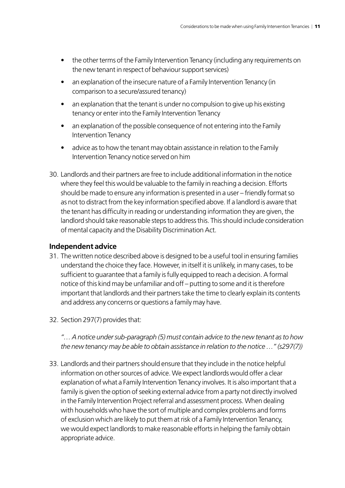- the other terms of the Family Intervention Tenancy (including any requirements on the new tenant in respect of behaviour support services)
- an explanation of the insecure nature of a Family Intervention Tenancy (in comparison to a secure/assured tenancy)
- an explanation that the tenant is under no compulsion to give up his existing tenancy or enter into the Family Intervention Tenancy
- an explanation of the possible consequence of not entering into the Family Intervention Tenancy
- advice as to how the tenant may obtain assistance in relation to the Family Intervention Tenancy notice served on him
- 30. Landlords and their partners are free to include additional information in the notice where they feel this would be valuable to the family in reaching a decision. Efforts should be made to ensure any information is presented in a user – friendly format so as not to distract from the key information specified above. If a landlord is aware that the tenant has difficulty in reading or understanding information they are given, the landlord should take reasonable steps to address this. This should include consideration of mental capacity and the Disability Discrimination Act.

### **Independent advice**

- 31. The written notice described above is designed to be a useful tool in ensuring families understand the choice they face. However, in itself it is unlikely, in many cases, to be sufficient to guarantee that a family is fully equipped to reach a decision. A formal notice of this kind may be unfamiliar and off – putting to some and it is therefore important that landlords and their partners take the time to clearly explain its contents and address any concerns or questions a family may have.
- 32. Section 297(7) provides that:

*"… A notice under sub-paragraph (5) must contain advice to the new tenant as to how the new tenancy may be able to obtain assistance in relation to the notice …" (s297(7))*

33. Landlords and their partners should ensure that they include in the notice helpful information on other sources of advice. We expect landlords would offer a clear explanation of what a Family Intervention Tenancy involves. It is also important that a family is given the option of seeking external advice from a party not directly involved in the Family Intervention Project referral and assessment process. When dealing with households who have the sort of multiple and complex problems and forms of exclusion which are likely to put them at risk of a Family Intervention Tenancy, we would expect landlords to make reasonable efforts in helping the family obtain appropriate advice.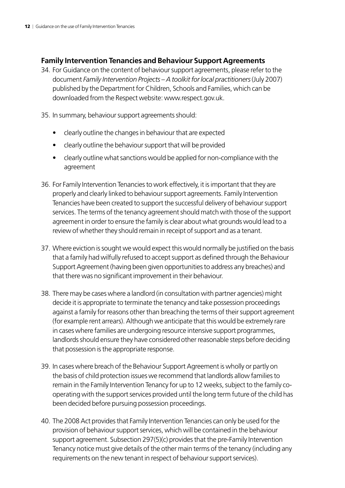### **Family Intervention Tenancies and Behaviour Support Agreements**

- 34. For Guidance on the content of behaviour support agreements, please refer to the document *Family Intervention Projects – A toolkit for local practitioners* (July 2007) published by the Department for Children, Schools and Families, which can be downloaded from the Respect website: www.respect.gov.uk.
- 35. In summary, behaviour support agreements should:
	- clearly outline the changes in behaviour that are expected
	- clearly outline the behaviour support that will be provided
	- clearly outline what sanctions would be applied for non-compliance with the agreement
- 36. For Family Intervention Tenancies to work effectively, it is important that they are properly and clearly linked to behaviour support agreements. Family Intervention Tenancies have been created to support the successful delivery of behaviour support services. The terms of the tenancy agreement should match with those of the support agreement in order to ensure the family is clear about what grounds would lead to a review of whether they should remain in receipt of support and as a tenant.
- 37. Where eviction is sought we would expect this would normally be justified on the basis that a family had wilfully refused to accept support as defined through the Behaviour Support Agreement (having been given opportunities to address any breaches) and that there was no significant improvement in their behaviour.
- 38. There may be cases where a landlord (in consultation with partner agencies) might decide it is appropriate to terminate the tenancy and take possession proceedings against a family for reasons other than breaching the terms of their support agreement (for example rent arrears). Although we anticipate that this would be extremely rare in cases where families are undergoing resource intensive support programmes, landlords should ensure they have considered other reasonable steps before deciding that possession is the appropriate response.
- 39. In cases where breach of the Behaviour Support Agreement is wholly or partly on the basis of child protection issues we recommend that landlords allow families to remain in the Family Intervention Tenancy for up to 12 weeks, subject to the family cooperating with the support services provided until the long term future of the child has been decided before pursuing possession proceedings.
- 40. The 2008 Act provides that Family Intervention Tenancies can only be used for the provision of behaviour support services, which will be contained in the behaviour support agreement. Subsection 297(5)(c) provides that the pre-Family Intervention Tenancy notice must give details of the other main terms of the tenancy (including any requirements on the new tenant in respect of behaviour support services).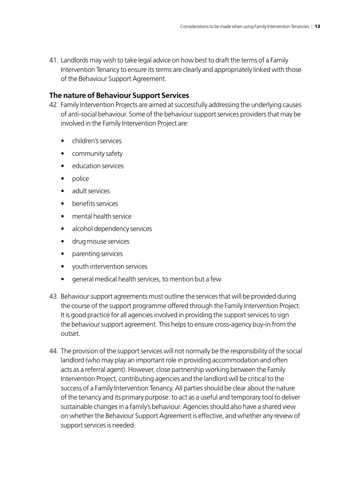41. Landlords may wish to take legal advice on how best to draft the terms of a Family Intervention Tenancy to ensure its terms are clearly and appropriately linked with those of the Behaviour Support Agreement.

### **The nature of Behaviour Support Services**

- 42. Family Intervention Projects are aimed at successfully addressing the underlying causes of anti-social behaviour. Some of the behaviour support services providers that may be involved in the Family Intervention Project are:
	- children's services
	- community safety
	- education services
	- police
	- adult services
	- henefits services
	- mental health service
	- alcohol dependency services
	- • drug misuse services
	- parenting services
	- youth intervention services
	- general medical health services, to mention but a few
- 43. Behaviour support agreements must outline the services that will be provided during the course of the support programme offered through the Family Intervention Project. It is good practice for all agencies involved in providing the support services to sign the behaviour support agreement. This helps to ensure cross-agency buy-in from the outset.
- 44. The provision of the support services will not normally be the responsibility of the social landlord (who may play an important role in providing accommodation and often acts as a referral agent). However, close partnership working between the Family Intervention Project, contributing agencies and the landlord will be critical to the success of a Family Intervention Tenancy. All parties should be clear about the nature of the tenancy and its primary purpose: to act as a useful and temporary tool to deliver sustainable changes in a family's behaviour. Agencies should also have a shared view on whether the Behaviour Support Agreement is effective, and whether any review of support services is needed.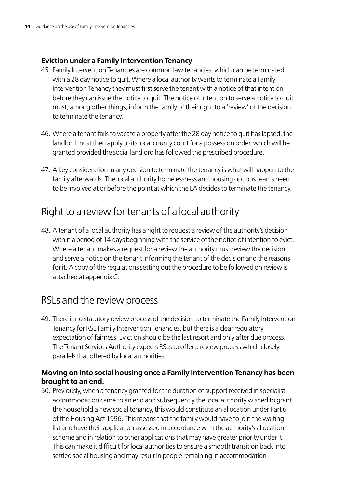### **Eviction under a Family Intervention Tenancy**

- 45. Family Intervention Tenancies are common law tenancies, which can be terminated with a 28 day notice to quit. Where a local authority wants to terminate a Family Intervention Tenancy they must first serve the tenant with a notice of that intention before they can issue the notice to quit. The notice of intention to serve a notice to quit must, among other things, inform the family of their right to a 'review' of the decision to terminate the tenancy.
- 46. Where a tenant fails to vacate a property after the 28 day notice to quit has lapsed, the landlord must then apply to its local county court for a possession order, which will be granted provided the social landlord has followed the prescribed procedure.
- 47. A key consideration in any decision to terminate the tenancy is what will happen to the family afterwards. The local authority homelessness and housing options teams need to be involved at or before the point at which the LA decides to terminate the tenancy.

### Right to a review for tenants of a local authority

48. A tenant of a local authority has a right to request a review of the authority's decision within a period of 14 days beginning with the service of the notice of intention to evict. Where a tenant makes a request for a review the authority must review the decision and serve a notice on the tenant informing the tenant of the decision and the reasons for it. A copy of the regulations setting out the procedure to be followed on review is attached at appendix C.

### RSLs and the review process

49. There is no statutory review process of the decision to terminate the Family Intervention Tenancy for RSL Family Intervention Tenancies, but there is a clear regulatory expectation of fairness. Eviction should be the last resort and only after due process. The Tenant Services Authority expects RSLs to offer a review process which closely parallels that offered by local authorities.

### **Moving on into social housing once a Family Intervention Tenancy has been brought to an end.**

50. Previously, when a tenancy granted for the duration of support received in specialist accommodation came to an end and subsequently the local authority wished to grant the household a new social tenancy, this would constitute an allocation under Part 6 of the Housing Act 1996. This means that the family would have to join the waiting list and have their application assessed in accordance with the authority's allocation scheme and in relation to other applications that may have greater priority under it. This can make it difficult for local authorities to ensure a smooth transition back into settled social housing and may result in people remaining in accommodation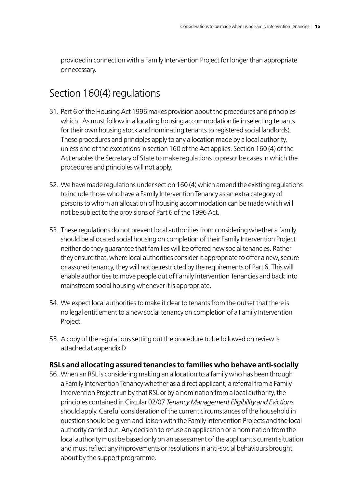provided in connection with a Family Intervention Project for longer than appropriate or necessary.

### Section 160(4) regulations

- 51. Part 6 of the Housing Act 1996 makes provision about the procedures and principles which LAs must follow in allocating housing accommodation (ie in selecting tenants for their own housing stock and nominating tenants to registered social landlords). These procedures and principles apply to any allocation made by a local authority, unless one of the exceptions in section 160 of the Act applies. Section 160 (4) of the Act enables the Secretary of State to make regulations to prescribe cases in which the procedures and principles will not apply.
- 52. We have made regulations under section 160 (4) which amend the existing regulations to include those who have a Family Intervention Tenancy as an extra category of persons to whom an allocation of housing accommodation can be made which will not be subject to the provisions of Part 6 of the 1996 Act.
- 53. These regulations do not prevent local authorities from considering whether a family should be allocated social housing on completion of their Family Intervention Project neither do they guarantee that families will be offered new social tenancies. Rather they ensure that, where local authorities consider it appropriate to offer a new, secure or assured tenancy, they will not be restricted by the requirements of Part 6. This will enable authorities to move people out of Family Intervention Tenancies and back into mainstream social housing whenever it is appropriate.
- 54. We expect local authorities to make it clear to tenants from the outset that there is no legal entitlement to a new social tenancy on completion of a Family Intervention Project.
- 55. A copy of the regulations setting out the procedure to be followed on review is attached at appendix D.

### **RSLs and allocating assured tenancies to families who behave anti-socially**

56. When an RSL is considering making an allocation to a family who has been through a Family Intervention Tenancy whether as a direct applicant, a referral from a Family Intervention Project run by that RSL or by a nomination from a local authority, the principles contained in Circular 02/07 *Tenancy Management Eligibility and Evictions* should apply. Careful consideration of the current circumstances of the household in question should be given and liaison with the Family Intervention Projects and the local authority carried out. Any decision to refuse an application or a nomination from the local authority must be based only on an assessment of the applicant's current situation and must reflect any improvements or resolutions in anti-social behaviours brought about by the support programme.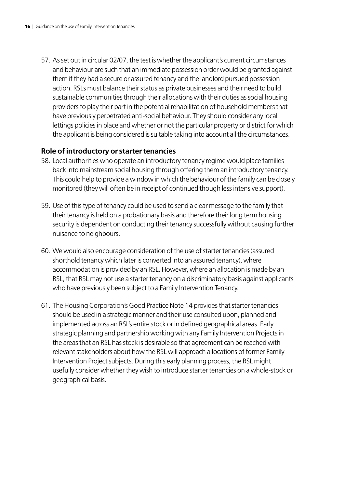57. As set out in circular 02/07, the test is whether the applicant's current circumstances and behaviour are such that an immediate possession order would be granted against them if they had a secure or assured tenancy and the landlord pursued possession action. RSLs must balance their status as private businesses and their need to build sustainable communities through their allocations with their duties as social housing providers to play their part in the potential rehabilitation of household members that have previously perpetrated anti-social behaviour. They should consider any local lettings policies in place and whether or not the particular property or district for which the applicant is being considered is suitable taking into account all the circumstances.

### **Role of introductory or starter tenancies**

- 58. Local authorities who operate an introductory tenancy regime would place families back into mainstream social housing through offering them an introductory tenancy. This could help to provide a window in which the behaviour of the family can be closely monitored (they will often be in receipt of continued though less intensive support).
- 59. Use of this type of tenancy could be used to send a clear message to the family that their tenancy is held on a probationary basis and therefore their long term housing security is dependent on conducting their tenancy successfully without causing further nuisance to neighbours.
- 60. We would also encourage consideration of the use of starter tenancies (assured shorthold tenancy which later is converted into an assured tenancy), where accommodation is provided by an RSL. However, where an allocation is made by an RSL, that RSL may not use a starter tenancy on a discriminatory basis against applicants who have previously been subject to a Family Intervention Tenancy.
- 61. The Housing Corporation's Good Practice Note 14 provides that starter tenancies should be used in a strategic manner and their use consulted upon, planned and implemented across an RSL's entire stock or in defined geographical areas. Early strategic planning and partnership working with any Family Intervention Projects in the areas that an RSL has stock is desirable so that agreement can be reached with relevant stakeholders about how the RSL will approach allocations of former Family Intervention Project subjects. During this early planning process, the RSL might usefully consider whether they wish to introduce starter tenancies on a whole-stock or geographical basis.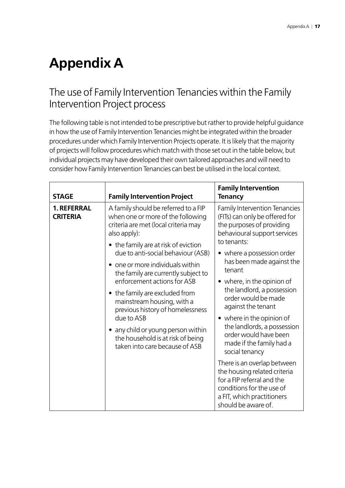# **Appendix A**

### The use of Family Intervention Tenancies within the Family Intervention Project process

The following table is not intended to be prescriptive but rather to provide helpful guidance in how the use of Family Intervention Tenancies might be integrated within the broader procedures under which Family Intervention Projects operate. It is likely that the majority of projects will follow procedures which match with those set out in the table below, but individual projects may have developed their own tailored approaches and will need to consider how Family Intervention Tenancies can best be utilised in the local context.

| <b>STAGE</b>                                                                                                                                                               | <b>Family Intervention Project</b>                                                                                                                 | <b>Family Intervention</b><br><b>Tenancy</b>                                                                                                                                |
|----------------------------------------------------------------------------------------------------------------------------------------------------------------------------|----------------------------------------------------------------------------------------------------------------------------------------------------|-----------------------------------------------------------------------------------------------------------------------------------------------------------------------------|
| A family should be referred to a FIP<br><b>1. REFERRAL</b><br>when one or more of the following<br><b>CRITERIA</b><br>criteria are met (local criteria may<br>also apply): | <b>Family Intervention Tenancies</b><br>(FITs) can only be offered for<br>the purposes of providing<br>behavioural support services<br>to tenants: |                                                                                                                                                                             |
|                                                                                                                                                                            | • the family are at risk of eviction<br>due to anti-social behaviour (ASB)<br>one or more individuals within                                       | • where a possession order<br>has been made against the<br>tenant                                                                                                           |
|                                                                                                                                                                            | the family are currently subject to<br>enforcement actions for ASB<br>• the family are excluded from<br>mainstream housing, with a                 | • where, in the opinion of<br>the landlord, a possession<br>order would be made<br>against the tenant                                                                       |
| previous history of homelessness<br>due to ASB<br>• any child or young person within<br>the household is at risk of being<br>taken into care because of ASB                | • where in the opinion of<br>the landlords, a possession<br>order would have been<br>made if the family had a<br>social tenancy                    |                                                                                                                                                                             |
|                                                                                                                                                                            |                                                                                                                                                    | There is an overlap between<br>the housing related criteria<br>for a FIP referral and the<br>conditions for the use of<br>a FIT, which practitioners<br>should be aware of. |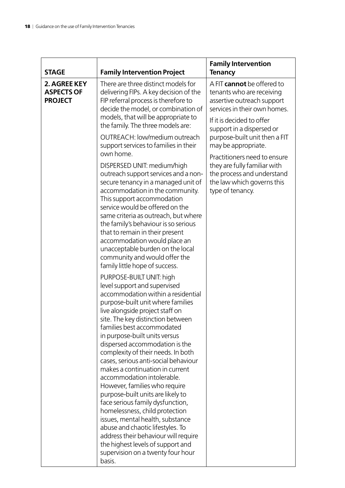| <b>STAGE</b>                                        | <b>Family Intervention Project</b>                                                                                                                                                                                                                                                                                                                                                                                                                                                                                                                                                                                                                                                                                                                                                                          | <b>Family Intervention</b><br><b>Tenancy</b>                                                                                                                                    |
|-----------------------------------------------------|-------------------------------------------------------------------------------------------------------------------------------------------------------------------------------------------------------------------------------------------------------------------------------------------------------------------------------------------------------------------------------------------------------------------------------------------------------------------------------------------------------------------------------------------------------------------------------------------------------------------------------------------------------------------------------------------------------------------------------------------------------------------------------------------------------------|---------------------------------------------------------------------------------------------------------------------------------------------------------------------------------|
| 2. AGREE KEY<br><b>ASPECTS OF</b><br><b>PROJECT</b> | There are three distinct models for<br>delivering FIPs. A key decision of the<br>FIP referral process is therefore to<br>decide the model, or combination of<br>models, that will be appropriate to<br>the family. The three models are:                                                                                                                                                                                                                                                                                                                                                                                                                                                                                                                                                                    | A FIT cannot be offered to<br>tenants who are receiving<br>assertive outreach support<br>services in their own homes.<br>If it is decided to offer<br>support in a dispersed or |
|                                                     | OUTREACH: low/medium outreach<br>support services to families in their<br>own home.                                                                                                                                                                                                                                                                                                                                                                                                                                                                                                                                                                                                                                                                                                                         | purpose-built unit then a FIT<br>may be appropriate.                                                                                                                            |
|                                                     | DISPERSED UNIT: medium/high<br>outreach support services and a non-<br>secure tenancy in a managed unit of<br>accommodation in the community.<br>This support accommodation<br>service would be offered on the<br>same criteria as outreach, but where<br>the family's behaviour is so serious<br>that to remain in their present<br>accommodation would place an<br>unacceptable burden on the local<br>community and would offer the<br>family little hope of success.                                                                                                                                                                                                                                                                                                                                    | Practitioners need to ensure<br>they are fully familiar with<br>the process and understand<br>the law which governs this<br>type of tenancy.                                    |
|                                                     | PURPOSE-BUILT UNIT: high<br>level support and supervised<br>accommodation within a residential<br>purpose-built unit where families<br>live alongside project staff on<br>site. The key distinction between<br>families best accommodated<br>in purpose-built units versus<br>dispersed accommodation is the<br>complexity of their needs. In both<br>cases, serious anti-social behaviour<br>makes a continuation in current<br>accommodation intolerable.<br>However, families who require<br>purpose-built units are likely to<br>face serious family dysfunction,<br>homelessness, child protection<br>issues, mental health, substance<br>abuse and chaotic lifestyles. To<br>address their behaviour will require<br>the highest levels of support and<br>supervision on a twenty four hour<br>basis. |                                                                                                                                                                                 |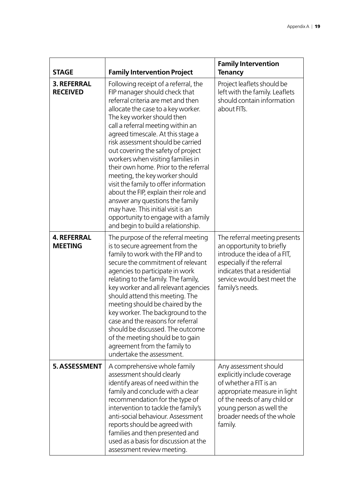| <b>STAGE</b>                          | <b>Family Intervention Project</b>                                                                                                                                                                                                                                                                                                                                                                                                                                                                                                                                                                                                                                                           | <b>Family Intervention</b><br><b>Tenancy</b>                                                                                                                                                                        |
|---------------------------------------|----------------------------------------------------------------------------------------------------------------------------------------------------------------------------------------------------------------------------------------------------------------------------------------------------------------------------------------------------------------------------------------------------------------------------------------------------------------------------------------------------------------------------------------------------------------------------------------------------------------------------------------------------------------------------------------------|---------------------------------------------------------------------------------------------------------------------------------------------------------------------------------------------------------------------|
| <b>3. REFERRAL</b><br><b>RECEIVED</b> | Following receipt of a referral, the<br>FIP manager should check that<br>referral criteria are met and then<br>allocate the case to a key worker.<br>The key worker should then<br>call a referral meeting within an<br>agreed timescale. At this stage a<br>risk assessment should be carried<br>out covering the safety of project<br>workers when visiting families in<br>their own home. Prior to the referral<br>meeting, the key worker should<br>visit the family to offer information<br>about the FIP, explain their role and<br>answer any questions the family<br>may have. This initial visit is an<br>opportunity to engage with a family<br>and begin to build a relationship. | Project leaflets should be<br>left with the family. Leaflets<br>should contain information<br>about FITs.                                                                                                           |
| <b>4. REFERRAL</b><br><b>MEETING</b>  | The purpose of the referral meeting<br>is to secure agreement from the<br>family to work with the FIP and to<br>secure the commitment of relevant<br>agencies to participate in work<br>relating to the family. The family,<br>key worker and all relevant agencies<br>should attend this meeting. The<br>meeting should be chaired by the<br>key worker. The background to the<br>case and the reasons for referral<br>should be discussed. The outcome<br>of the meeting should be to gain<br>agreement from the family to<br>undertake the assessment.                                                                                                                                    | The referral meeting presents<br>an opportunity to briefly<br>introduce the idea of a FIT,<br>especially if the referral<br>indicates that a residential<br>service would best meet the<br>family's needs.          |
| 5. ASSESSMENT                         | A comprehensive whole family<br>assessment should clearly<br>identify areas of need within the<br>family and conclude with a clear<br>recommendation for the type of<br>intervention to tackle the family's<br>anti-social behaviour. Assessment<br>reports should be agreed with<br>families and then presented and<br>used as a basis for discussion at the<br>assessment review meeting.                                                                                                                                                                                                                                                                                                  | Any assessment should<br>explicitly include coverage<br>of whether a FIT is an<br>appropriate measure in light<br>of the needs of any child or<br>young person as well the<br>broader needs of the whole<br>family. |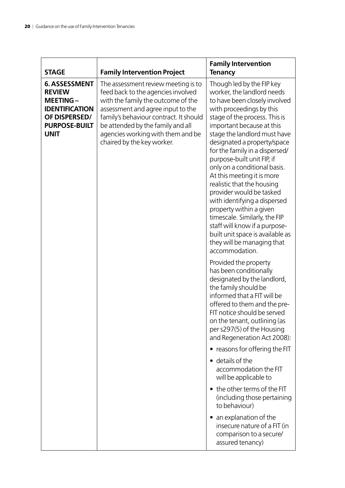| <b>STAGE</b>                                                                                                                              | <b>Family Intervention Project</b>                                                                                                                                                                                                                                                                     | <b>Family Intervention</b><br><b>Tenancy</b>                                                                                                                                                                                                                                                                                                                                                                                                                                                                                                                                                                                                                                                                                                                                                                                                                                                                                                                    |
|-------------------------------------------------------------------------------------------------------------------------------------------|--------------------------------------------------------------------------------------------------------------------------------------------------------------------------------------------------------------------------------------------------------------------------------------------------------|-----------------------------------------------------------------------------------------------------------------------------------------------------------------------------------------------------------------------------------------------------------------------------------------------------------------------------------------------------------------------------------------------------------------------------------------------------------------------------------------------------------------------------------------------------------------------------------------------------------------------------------------------------------------------------------------------------------------------------------------------------------------------------------------------------------------------------------------------------------------------------------------------------------------------------------------------------------------|
| <b>6. ASSESSMENT</b><br><b>REVIEW</b><br><b>MEETING-</b><br><b>IDENTIFICATION</b><br>OF DISPERSED/<br><b>PURPOSE-BUILT</b><br><b>UNIT</b> | The assessment review meeting is to<br>feed back to the agencies involved<br>with the family the outcome of the<br>assessment and agree input to the<br>family's behaviour contract. It should<br>be attended by the family and all<br>agencies working with them and be<br>chaired by the key worker. | Though led by the FIP key<br>worker, the landlord needs<br>to have been closely involved<br>with proceedings by this<br>stage of the process. This is<br>important because at this<br>stage the landlord must have<br>designated a property/space<br>for the family in a dispersed/<br>purpose-built unit FIP, if<br>only on a conditional basis.<br>At this meeting it is more<br>realistic that the housing<br>provider would be tasked<br>with identifying a dispersed<br>property within a given<br>timescale. Similarly, the FIP<br>staff will know if a purpose-<br>built unit space is available as<br>they will be managing that<br>accommodation.<br>Provided the property<br>has been conditionally<br>designated by the landlord,<br>the family should be<br>informed that a FIT will be<br>offered to them and the pre-<br>FIT notice should be served<br>on the tenant, outlining (as<br>per s297(5) of the Housing<br>and Regeneration Act 2008): |
|                                                                                                                                           |                                                                                                                                                                                                                                                                                                        | • reasons for offering the FIT                                                                                                                                                                                                                                                                                                                                                                                                                                                                                                                                                                                                                                                                                                                                                                                                                                                                                                                                  |
|                                                                                                                                           |                                                                                                                                                                                                                                                                                                        | • details of the<br>accommodation the FIT<br>will be applicable to                                                                                                                                                                                                                                                                                                                                                                                                                                                                                                                                                                                                                                                                                                                                                                                                                                                                                              |
|                                                                                                                                           |                                                                                                                                                                                                                                                                                                        | • the other terms of the FIT<br>(including those pertaining<br>to behaviour)                                                                                                                                                                                                                                                                                                                                                                                                                                                                                                                                                                                                                                                                                                                                                                                                                                                                                    |
|                                                                                                                                           |                                                                                                                                                                                                                                                                                                        | an explanation of the<br>$\bullet$<br>insecure nature of a FIT (in<br>comparison to a secure/<br>assured tenancy)                                                                                                                                                                                                                                                                                                                                                                                                                                                                                                                                                                                                                                                                                                                                                                                                                                               |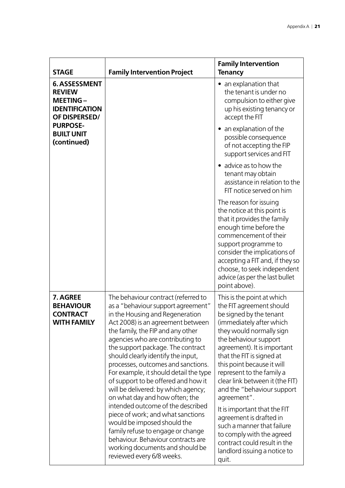| <b>STAGE</b>                                                                                       | <b>Family Intervention Project</b>                                                                                                                                                                                                                                                                                                                                                                                                                                                                                                                                                                                                                                                                                                                        | <b>Family Intervention</b><br><b>Tenancy</b>                                                                                                                                                                                                                                                                                                                                                                                                                                                                                                                             |
|----------------------------------------------------------------------------------------------------|-----------------------------------------------------------------------------------------------------------------------------------------------------------------------------------------------------------------------------------------------------------------------------------------------------------------------------------------------------------------------------------------------------------------------------------------------------------------------------------------------------------------------------------------------------------------------------------------------------------------------------------------------------------------------------------------------------------------------------------------------------------|--------------------------------------------------------------------------------------------------------------------------------------------------------------------------------------------------------------------------------------------------------------------------------------------------------------------------------------------------------------------------------------------------------------------------------------------------------------------------------------------------------------------------------------------------------------------------|
| <b>6. ASSESSMENT</b><br><b>REVIEW</b><br><b>MEETING-</b><br><b>IDENTIFICATION</b><br>OF DISPERSED/ |                                                                                                                                                                                                                                                                                                                                                                                                                                                                                                                                                                                                                                                                                                                                                           | • an explanation that<br>the tenant is under no<br>compulsion to either give<br>up his existing tenancy or<br>accept the FIT                                                                                                                                                                                                                                                                                                                                                                                                                                             |
| <b>PURPOSE-</b><br><b>BUILT UNIT</b><br>(continued)                                                |                                                                                                                                                                                                                                                                                                                                                                                                                                                                                                                                                                                                                                                                                                                                                           | • an explanation of the<br>possible consequence<br>of not accepting the FIP<br>support services and FIT                                                                                                                                                                                                                                                                                                                                                                                                                                                                  |
|                                                                                                    |                                                                                                                                                                                                                                                                                                                                                                                                                                                                                                                                                                                                                                                                                                                                                           | advice as to how the<br>tenant may obtain<br>assistance in relation to the<br>FIT notice served on him                                                                                                                                                                                                                                                                                                                                                                                                                                                                   |
|                                                                                                    |                                                                                                                                                                                                                                                                                                                                                                                                                                                                                                                                                                                                                                                                                                                                                           | The reason for issuing<br>the notice at this point is<br>that it provides the family<br>enough time before the<br>commencement of their<br>support programme to<br>consider the implications of<br>accepting a FIT and, if they so<br>choose, to seek independent<br>advice (as per the last bullet<br>point above).                                                                                                                                                                                                                                                     |
| 7. AGREE<br><b>BEHAVIOUR</b><br><b>CONTRACT</b><br><b>WITH FAMILY</b>                              | The behaviour contract (referred to<br>as a "behaviour support agreement"<br>in the Housing and Regeneration<br>Act 2008) is an agreement between<br>the family, the FIP and any other<br>agencies who are contributing to<br>the support package. The contract<br>should clearly identify the input,<br>processes, outcomes and sanctions.<br>For example, it should detail the type<br>of support to be offered and how it<br>will be delivered: by which agency;<br>on what day and how often; the<br>intended outcome of the described<br>piece of work; and what sanctions<br>would be imposed should the<br>family refuse to engage or change<br>behaviour. Behaviour contracts are<br>working documents and should be<br>reviewed every 6/8 weeks. | This is the point at which<br>the FIT agreement should<br>be signed by the tenant<br>(immediately after which<br>they would normally sign<br>the behaviour support<br>agreement). It is important<br>that the FIT is signed at<br>this point because it will<br>represent to the family a<br>clear link between it (the FIT)<br>and the "behaviour support<br>agreement".<br>It is important that the FIT<br>agreement is drafted in<br>such a manner that failure<br>to comply with the agreed<br>contract could result in the<br>landlord issuing a notice to<br>quit. |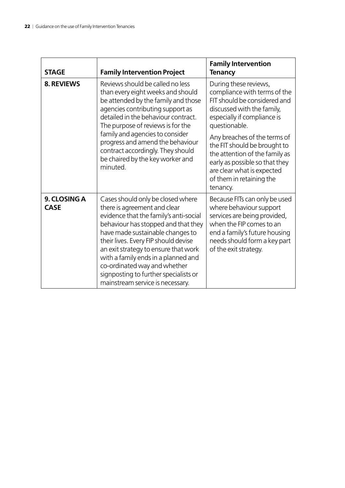| <b>STAGE</b>                | <b>Family Intervention Project</b>                                                                                                                                                                                                                                                                                                                                                                                         | <b>Family Intervention</b><br><b>Tenancy</b>                                                                                                                                                                   |
|-----------------------------|----------------------------------------------------------------------------------------------------------------------------------------------------------------------------------------------------------------------------------------------------------------------------------------------------------------------------------------------------------------------------------------------------------------------------|----------------------------------------------------------------------------------------------------------------------------------------------------------------------------------------------------------------|
| <b>8. REVIEWS</b>           | Reviews should be called no less<br>than every eight weeks and should<br>be attended by the family and those<br>agencies contributing support as<br>detailed in the behaviour contract.<br>The purpose of reviews is for the                                                                                                                                                                                               | During these reviews,<br>compliance with terms of the<br>FIT should be considered and<br>discussed with the family,<br>especially if compliance is<br>questionable.                                            |
|                             | family and agencies to consider<br>progress and amend the behaviour<br>contract accordingly. They should<br>be chaired by the key worker and<br>minuted.                                                                                                                                                                                                                                                                   | Any breaches of the terms of<br>the FIT should be brought to<br>the attention of the family as<br>early as possible so that they<br>are clear what is expected<br>of them in retaining the<br>tenancy.         |
| 9. CLOSING A<br><b>CASE</b> | Cases should only be closed where<br>there is agreement and clear<br>evidence that the family's anti-social<br>behaviour has stopped and that they<br>have made sustainable changes to<br>their lives. Every FIP should devise<br>an exit strategy to ensure that work<br>with a family ends in a planned and<br>co-ordinated way and whether<br>signposting to further specialists or<br>mainstream service is necessary. | Because FITs can only be used<br>where behaviour support<br>services are being provided,<br>when the FIP comes to an<br>end a family's future housing<br>needs should form a key part<br>of the exit strategy. |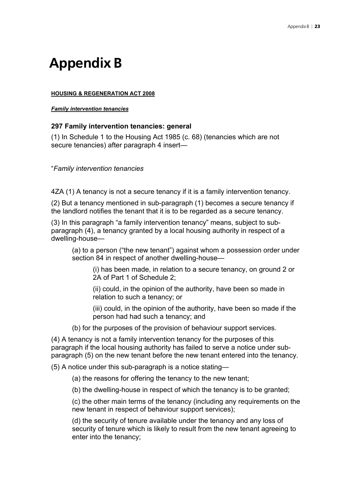# **Appendix B**

### **HOUSING & REGENERATION ACT 2008**

#### *Family intervention tenancies*

### **297 Family intervention tenancies: general**

(1) In Schedule 1 to the Housing Act 1985 (c. 68) (tenancies which are not secure tenancies) after paragraph 4 insert—

"*Family intervention tenancies* 

4ZA (1) A tenancy is not a secure tenancy if it is a family intervention tenancy.

(2) But a tenancy mentioned in sub-paragraph (1) becomes a secure tenancy if the landlord notifies the tenant that it is to be regarded as a secure tenancy.

(3) In this paragraph "a family intervention tenancy" means, subject to subparagraph (4), a tenancy granted by a local housing authority in respect of a dwelling-house—

(a) to a person ("the new tenant") against whom a possession order under section 84 in respect of another dwelling-house—

(i) has been made, in relation to a secure tenancy, on ground 2 or 2A of Part 1 of Schedule 2;

(ii) could, in the opinion of the authority, have been so made in relation to such a tenancy; or

(iii) could, in the opinion of the authority, have been so made if the person had had such a tenancy; and

(b) for the purposes of the provision of behaviour support services.

(4) A tenancy is not a family intervention tenancy for the purposes of this paragraph if the local housing authority has failed to serve a notice under subparagraph (5) on the new tenant before the new tenant entered into the tenancy.

(5) A notice under this sub-paragraph is a notice stating—

(a) the reasons for offering the tenancy to the new tenant;

(b) the dwelling-house in respect of which the tenancy is to be granted;

(c) the other main terms of the tenancy (including any requirements on the new tenant in respect of behaviour support services);

(d) the security of tenure available under the tenancy and any loss of security of tenure which is likely to result from the new tenant agreeing to enter into the tenancy;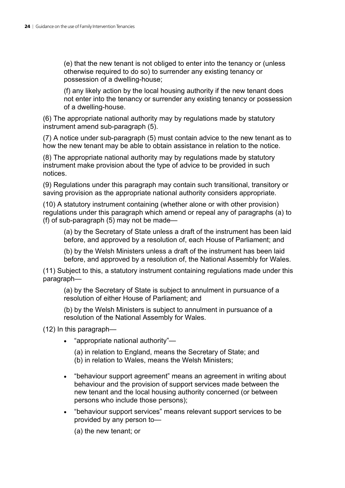(e) that the new tenant is not obliged to enter into the tenancy or (unless otherwise required to do so) to surrender any existing tenancy or possession of a dwelling-house;

(f) any likely action by the local housing authority if the new tenant does not enter into the tenancy or surrender any existing tenancy or possession of a dwelling-house.

(6) The appropriate national authority may by regulations made by statutory instrument amend sub-paragraph (5).

(7) A notice under sub-paragraph (5) must contain advice to the new tenant as to how the new tenant may be able to obtain assistance in relation to the notice.

(8) The appropriate national authority may by regulations made by statutory instrument make provision about the type of advice to be provided in such notices.

(9) Regulations under this paragraph may contain such transitional, transitory or saving provision as the appropriate national authority considers appropriate.

(10) A statutory instrument containing (whether alone or with other provision) regulations under this paragraph which amend or repeal any of paragraphs (a) to (f) of sub-paragraph (5) may not be made—

(a) by the Secretary of State unless a draft of the instrument has been laid before, and approved by a resolution of, each House of Parliament; and

(b) by the Welsh Ministers unless a draft of the instrument has been laid before, and approved by a resolution of, the National Assembly for Wales.

(11) Subject to this, a statutory instrument containing regulations made under this paragraph—

(a) by the Secretary of State is subject to annulment in pursuance of a resolution of either House of Parliament; and

(b) by the Welsh Ministers is subject to annulment in pursuance of a resolution of the National Assembly for Wales.

(12) In this paragraph—

• "appropriate national authority"—

(a) in relation to England, means the Secretary of State; and (b) in relation to Wales, means the Welsh Ministers;

- "behaviour support agreement" means an agreement in writing about behaviour and the provision of support services made between the new tenant and the local housing authority concerned (or between persons who include those persons);
- "behaviour support services" means relevant support services to be provided by any person to—

(a) the new tenant; or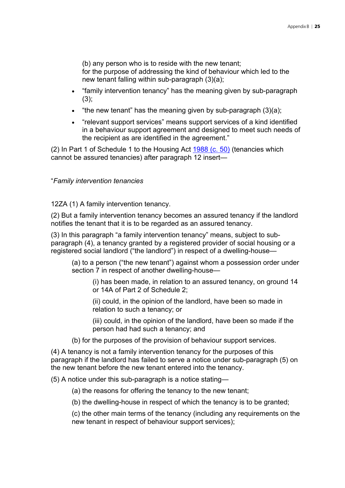(b) any person who is to reside with the new tenant;

for the purpose of addressing the kind of behaviour which led to the new tenant falling within sub-paragraph (3)(a);

- "family intervention tenancy" has the meaning given by sub-paragraph  $(3)$ :
- "the new tenant" has the meaning given by sub-paragraph (3)(a);
- "relevant support services" means support services of a kind identified in a behaviour support agreement and designed to meet such needs of the recipient as are identified in the agreement."

(2) In Part 1 of Schedule 1 to the Housing Act 1988 (c. 50) (tenancies which cannot be assured tenancies) after paragraph 12 insert—

"*Family intervention tenancies* 

12ZA (1) A family intervention tenancy.

(2) But a family intervention tenancy becomes an assured tenancy if the landlord notifies the tenant that it is to be regarded as an assured tenancy.

(3) In this paragraph "a family intervention tenancy" means, subject to subparagraph (4), a tenancy granted by a registered provider of social housing or a registered social landlord ("the landlord") in respect of a dwelling-house—

(a) to a person ("the new tenant") against whom a possession order under section 7 in respect of another dwelling-house—

(i) has been made, in relation to an assured tenancy, on ground 14 or 14A of Part 2 of Schedule 2;

(ii) could, in the opinion of the landlord, have been so made in relation to such a tenancy; or

(iii) could, in the opinion of the landlord, have been so made if the person had had such a tenancy; and

(b) for the purposes of the provision of behaviour support services.

(4) A tenancy is not a family intervention tenancy for the purposes of this paragraph if the landlord has failed to serve a notice under sub-paragraph (5) on the new tenant before the new tenant entered into the tenancy.

(5) A notice under this sub-paragraph is a notice stating—

(a) the reasons for offering the tenancy to the new tenant;

(b) the dwelling-house in respect of which the tenancy is to be granted;

(c) the other main terms of the tenancy (including any requirements on the new tenant in respect of behaviour support services);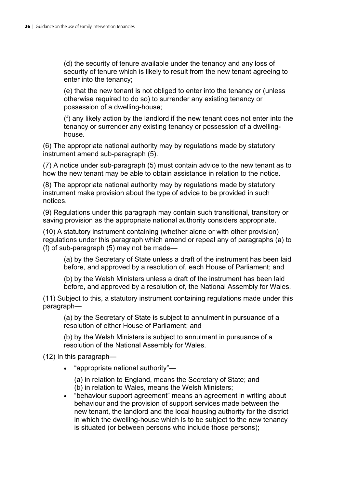(d) the security of tenure available under the tenancy and any loss of security of tenure which is likely to result from the new tenant agreeing to enter into the tenancy;

(e) that the new tenant is not obliged to enter into the tenancy or (unless otherwise required to do so) to surrender any existing tenancy or possession of a dwelling-house;

(f) any likely action by the landlord if the new tenant does not enter into the tenancy or surrender any existing tenancy or possession of a dwellinghouse.

(6) The appropriate national authority may by regulations made by statutory instrument amend sub-paragraph (5).

(7) A notice under sub-paragraph (5) must contain advice to the new tenant as to how the new tenant may be able to obtain assistance in relation to the notice.

(8) The appropriate national authority may by regulations made by statutory instrument make provision about the type of advice to be provided in such notices.

(9) Regulations under this paragraph may contain such transitional, transitory or saving provision as the appropriate national authority considers appropriate.

(10) A statutory instrument containing (whether alone or with other provision) regulations under this paragraph which amend or repeal any of paragraphs (a) to (f) of sub-paragraph (5) may not be made—

(a) by the Secretary of State unless a draft of the instrument has been laid before, and approved by a resolution of, each House of Parliament; and

(b) by the Welsh Ministers unless a draft of the instrument has been laid before, and approved by a resolution of, the National Assembly for Wales.

(11) Subject to this, a statutory instrument containing regulations made under this paragraph—

(a) by the Secretary of State is subject to annulment in pursuance of a resolution of either House of Parliament; and

(b) by the Welsh Ministers is subject to annulment in pursuance of a resolution of the National Assembly for Wales.

(12) In this paragraph—

• "appropriate national authority"—

(a) in relation to England, means the Secretary of State; and (b) in relation to Wales, means the Welsh Ministers;

• "behaviour support agreement" means an agreement in writing about behaviour and the provision of support services made between the new tenant, the landlord and the local housing authority for the district in which the dwelling-house which is to be subject to the new tenancy is situated (or between persons who include those persons);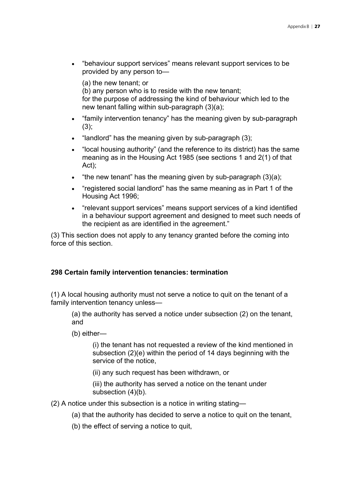• "behaviour support services" means relevant support services to be provided by any person to—

(a) the new tenant; or (b) any person who is to reside with the new tenant; for the purpose of addressing the kind of behaviour which led to the new tenant falling within sub-paragraph (3)(a);

- "family intervention tenancy" has the meaning given by sub-paragraph  $(3)$ :
- "landlord" has the meaning given by sub-paragraph (3);
- "local housing authority" (and the reference to its district) has the same meaning as in the Housing Act 1985 (see sections 1 and 2(1) of that Act);
- "the new tenant" has the meaning given by sub-paragraph (3)(a);
- "registered social landlord" has the same meaning as in Part 1 of the Housing Act 1996;
- "relevant support services" means support services of a kind identified in a behaviour support agreement and designed to meet such needs of the recipient as are identified in the agreement."

(3) This section does not apply to any tenancy granted before the coming into force of this section.

### **298 Certain family intervention tenancies: termination**

(1) A local housing authority must not serve a notice to quit on the tenant of a family intervention tenancy unless—

(a) the authority has served a notice under subsection (2) on the tenant, and

(b) either—

(i) the tenant has not requested a review of the kind mentioned in subsection (2)(e) within the period of 14 days beginning with the service of the notice,

(ii) any such request has been withdrawn, or

(iii) the authority has served a notice on the tenant under subsection (4)(b).

- (2) A notice under this subsection is a notice in writing stating—
	- (a) that the authority has decided to serve a notice to quit on the tenant,
	- (b) the effect of serving a notice to quit,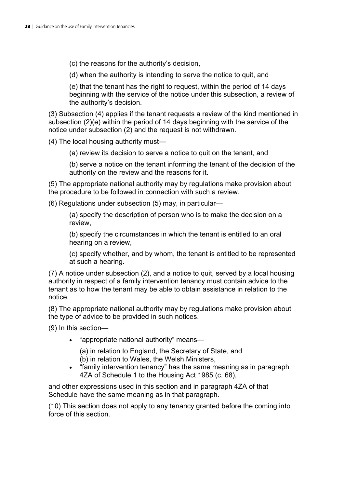(c) the reasons for the authority's decision,

(d) when the authority is intending to serve the notice to quit, and

(e) that the tenant has the right to request, within the period of 14 days beginning with the service of the notice under this subsection, a review of the authority's decision.

(3) Subsection (4) applies if the tenant requests a review of the kind mentioned in subsection (2)(e) within the period of 14 days beginning with the service of the notice under subsection (2) and the request is not withdrawn.

(4) The local housing authority must—

(a) review its decision to serve a notice to quit on the tenant, and

(b) serve a notice on the tenant informing the tenant of the decision of the authority on the review and the reasons for it.

(5) The appropriate national authority may by regulations make provision about the procedure to be followed in connection with such a review.

(6) Regulations under subsection (5) may, in particular—

(a) specify the description of person who is to make the decision on a review,

(b) specify the circumstances in which the tenant is entitled to an oral hearing on a review,

(c) specify whether, and by whom, the tenant is entitled to be represented at such a hearing.

(7) A notice under subsection (2), and a notice to quit, served by a local housing authority in respect of a family intervention tenancy must contain advice to the tenant as to how the tenant may be able to obtain assistance in relation to the notice.

(8) The appropriate national authority may by regulations make provision about the type of advice to be provided in such notices.

(9) In this section—

• "appropriate national authority" means—

(a) in relation to England, the Secretary of State, and

- (b) in relation to Wales, the Welsh Ministers,
- "family intervention tenancy" has the same meaning as in paragraph 4ZA of Schedule 1 to the Housing Act 1985 (c. 68),

and other expressions used in this section and in paragraph 4ZA of that Schedule have the same meaning as in that paragraph.

(10) This section does not apply to any tenancy granted before the coming into force of this section.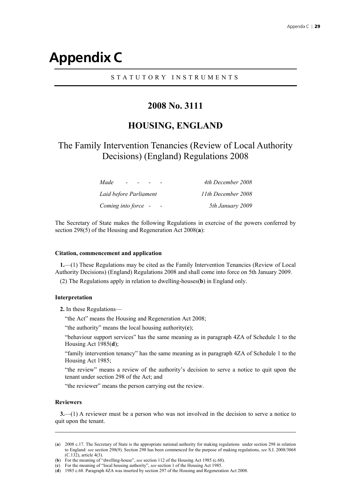## **Appendix C**

#### STATUTORY INSTRUMENTS

### **2008 No. 3111**

### **HOUSING, ENGLAND**

### The Family Intervention Tenancies (Review of Local Authority Decisions) (England) Regulations 2008

| Made                   | 4th December 2008  |
|------------------------|--------------------|
| Laid before Parliament | 11th December 2008 |
| Coming into force -    | 5th January 2009   |

The Secretary of State makes the following Regulations in exercise of the powers conferred by section 298(5) of the Housing and Regeneration Act 2008(**a**):

#### **Citation, commencement and application**

**1.**—(1) These Regulations may be cited as the Family Intervention Tenancies (Review of Local Authority Decisions) (England) Regulations 2008 and shall come into force on 5th January 2009.

(2) The Regulations apply in relation to dwelling-houses(**b**) in England only.

#### **Interpretation**

**2.** In these Regulations—

"the Act" means the Housing and Regeneration Act 2008;

"the authority" means the local housing authority(**c**);

"behaviour support services" has the same meaning as in paragraph 4ZA of Schedule 1 to the Housing Act 1985(**d**);

"family intervention tenancy" has the same meaning as in paragraph 4ZA of Schedule 1 to the Housing Act 1985;

"the review" means a review of the authority's decision to serve a notice to quit upon the tenant under section 298 of the Act; and

"the reviewer" means the person carrying out the review.

#### **Reviewers**

-

**3.**—(1) A reviewer must be a person who was not involved in the decision to serve a notice to quit upon the tenant.

<sup>(</sup>**a**) 2008 c.17. The Secretary of State is the appropriate national authority for making regulations under section 298 in relation to England: *see* section 298(9). Section 298 has been commenced for the purpose of making regulations, *see* S.I. 2008/3068 (C.132), article 4(3).

<sup>(</sup>**b**) For the meaning of "dwelling-house", *see* section 112 of the Housing Act 1985 (c.68).

<sup>(</sup>**c**) For the meaning of "local housing authority", *see* section 1 of the Housing Act 1985.

<sup>(</sup>**d**) 1985 c.68. Paragraph 4ZA was inserted by section 297 of the Housing and Regeneration Act 2008.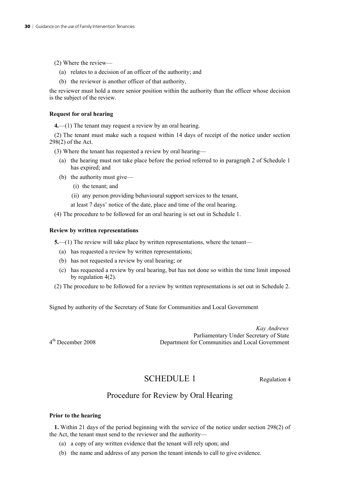(2) Where the review—

- (a) relates to a decision of an officer of the authority; and
- (b) the reviewer is another officer of that authority,

the reviewer must hold a more senior position within the authority than the officer whose decision is the subject of the review.

#### **Request for oral hearing**

**4.**—(1) The tenant may request a review by an oral hearing.

(2) The tenant must make such a request within 14 days of receipt of the notice under section 298(2) of the Act.

(3) Where the tenant has requested a review by oral hearing—

- (a) the hearing must not take place before the period referred to in paragraph 2 of Schedule 1 has expired; and
- (b) the authority must give—
	- (i) the tenant; and
	- (ii) any person providing behavioural support services to the tenant,

at least 7 days' notice of the date, place and time of the oral hearing.

(4) The procedure to be followed for an oral hearing is set out in Schedule 1.

#### **Review by written representations**

**5.**—(1) The review will take place by written representations, where the tenant—

- (a) has requested a review by written representations;
- (b) has not requested a review by oral hearing; or
- (c) has requested a review by oral hearing, but has not done so within the time limit imposed by regulation 4(2).
- (2) The procedure to be followed for a review by written representations is set out in Schedule 2.

Signed by authority of the Secretary of State for Communities and Local Government

 *Kay Andrews*  Parliamentary Under Secretary of State 4<sup>th</sup> December 2008 Department for Communities and Local Government

SCHEDULE 1 Regulation 4

### Procedure for Review by Oral Hearing

#### **Prior to the hearing**

**1.** Within 21 days of the period beginning with the service of the notice under section 298(2) of the Act, the tenant must send to the reviewer and the authority—

- (a) a copy of any written evidence that the tenant will rely upon; and
- (b) the name and address of any person the tenant intends to call to give evidence.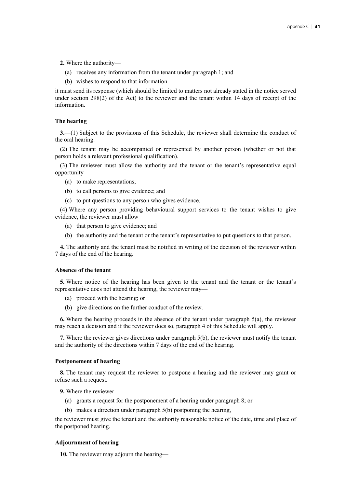**2.** Where the authority—

- (a) receives any information from the tenant under paragraph 1; and
- (b) wishes to respond to that information

it must send its response (which should be limited to matters not already stated in the notice served under section  $298(2)$  of the Act) to the reviewer and the tenant within 14 days of receipt of the information.

#### **The hearing**

**3.**—(1) Subject to the provisions of this Schedule, the reviewer shall determine the conduct of the oral hearing.

(2) The tenant may be accompanied or represented by another person (whether or not that person holds a relevant professional qualification).

(3) The reviewer must allow the authority and the tenant or the tenant's representative equal opportunity—

- (a) to make representations;
- (b) to call persons to give evidence; and
- (c) to put questions to any person who gives evidence.

(4) Where any person providing behavioural support services to the tenant wishes to give evidence, the reviewer must allow—

- (a) that person to give evidence; and
- (b) the authority and the tenant or the tenant's representative to put questions to that person.

**4.** The authority and the tenant must be notified in writing of the decision of the reviewer within 7 days of the end of the hearing.

#### **Absence of the tenant**

**5.** Where notice of the hearing has been given to the tenant and the tenant or the tenant's representative does not attend the hearing, the reviewer may—

- (a) proceed with the hearing; or
- (b) give directions on the further conduct of the review.

**6.** Where the hearing proceeds in the absence of the tenant under paragraph 5(a), the reviewer may reach a decision and if the reviewer does so, paragraph 4 of this Schedule will apply.

**7.** Where the reviewer gives directions under paragraph 5(b), the reviewer must notify the tenant and the authority of the directions within 7 days of the end of the hearing.

#### **Postponement of hearing**

**8.** The tenant may request the reviewer to postpone a hearing and the reviewer may grant or refuse such a request.

**9.** Where the reviewer—

- (a) grants a request for the postponement of a hearing under paragraph 8; or
- (b) makes a direction under paragraph 5(b) postponing the hearing,

the reviewer must give the tenant and the authority reasonable notice of the date, time and place of the postponed hearing.

#### **Adjournment of hearing**

**10.** The reviewer may adjourn the hearing—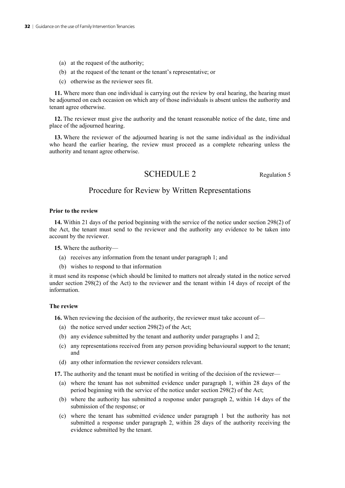- (a) at the request of the authority;
- (b) at the request of the tenant or the tenant's representative; or
- (c) otherwise as the reviewer sees fit.

**11.** Where more than one individual is carrying out the review by oral hearing, the hearing must be adjourned on each occasion on which any of those individuals is absent unless the authority and tenant agree otherwise.

**12.** The reviewer must give the authority and the tenant reasonable notice of the date, time and place of the adjourned hearing.

**13.** Where the reviewer of the adjourned hearing is not the same individual as the individual who heard the earlier hearing, the review must proceed as a complete rehearing unless the authority and tenant agree otherwise.

### SCHEDULE 2 Regulation 5

### Procedure for Review by Written Representations

#### **Prior to the review**

**14.** Within 21 days of the period beginning with the service of the notice under section 298(2) of the Act, the tenant must send to the reviewer and the authority any evidence to be taken into account by the reviewer.

**15.** Where the authority—

- (a) receives any information from the tenant under paragraph 1; and
- (b) wishes to respond to that information

it must send its response (which should be limited to matters not already stated in the notice served under section 298(2) of the Act) to the reviewer and the tenant within 14 days of receipt of the information.

#### **The review**

16. When reviewing the decision of the authority, the reviewer must take account of-

- (a) the notice served under section 298(2) of the Act;
- (b) any evidence submitted by the tenant and authority under paragraphs 1 and 2;
- (c) any representations received from any person providing behavioural support to the tenant; and
- (d) any other information the reviewer considers relevant.

**17.** The authority and the tenant must be notified in writing of the decision of the reviewer—

- (a) where the tenant has not submitted evidence under paragraph 1, within 28 days of the period beginning with the service of the notice under section 298(2) of the Act;
- (b) where the authority has submitted a response under paragraph 2, within 14 days of the submission of the response; or
- (c) where the tenant has submitted evidence under paragraph 1 but the authority has not submitted a response under paragraph 2, within 28 days of the authority receiving the evidence submitted by the tenant.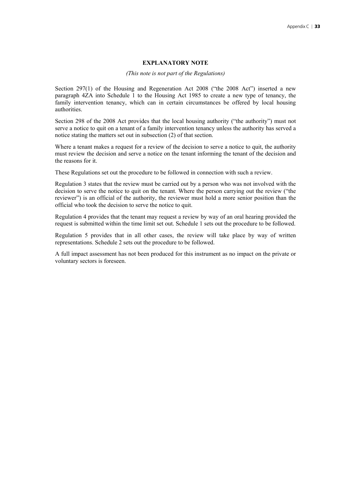#### **EXPLANATORY NOTE**

#### *(This note is not part of the Regulations)*

Section 297(1) of the Housing and Regeneration Act 2008 ("the 2008 Act") inserted a new paragraph 4ZA into Schedule 1 to the Housing Act 1985 to create a new type of tenancy, the family intervention tenancy, which can in certain circumstances be offered by local housing authorities.

Section 298 of the 2008 Act provides that the local housing authority ("the authority") must not serve a notice to quit on a tenant of a family intervention tenancy unless the authority has served a notice stating the matters set out in subsection (2) of that section.

Where a tenant makes a request for a review of the decision to serve a notice to quit, the authority must review the decision and serve a notice on the tenant informing the tenant of the decision and the reasons for it.

These Regulations set out the procedure to be followed in connection with such a review.

Regulation 3 states that the review must be carried out by a person who was not involved with the decision to serve the notice to quit on the tenant. Where the person carrying out the review ("the reviewer") is an official of the authority, the reviewer must hold a more senior position than the official who took the decision to serve the notice to quit.

Regulation 4 provides that the tenant may request a review by way of an oral hearing provided the request is submitted within the time limit set out. Schedule 1 sets out the procedure to be followed.

Regulation 5 provides that in all other cases, the review will take place by way of written representations. Schedule 2 sets out the procedure to be followed.

A full impact assessment has not been produced for this instrument as no impact on the private or voluntary sectors is foreseen.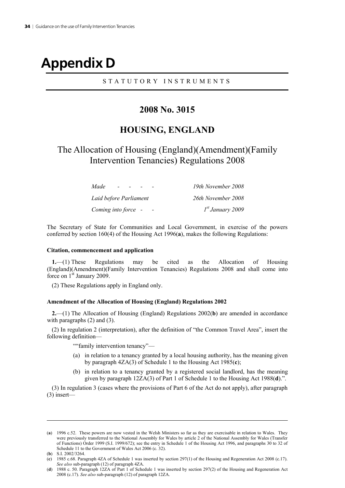# **Appendix D**

### STATUTORY INSTRUMENTS

### **2008 No. 3015**

### **HOUSING, ENGLAND**

### The Allocation of Housing (England)(Amendment)(Family Intervention Tenancies) Regulations 2008

| Made<br>$\sim$         | 19th November 2008 |
|------------------------|--------------------|
| Laid before Parliament | 26th November 2008 |
| Coming into force -    | $Ist$ January 2009 |

The Secretary of State for Communities and Local Government, in exercise of the powers conferred by section 160(4) of the Housing Act 1996(**a**), makes the following Regulations:

#### **Citation, commencement and application**

**1.**—(1) These Regulations may be cited as the Allocation of Housing (England)(Amendment)(Family Intervention Tenancies) Regulations 2008 and shall come into force on  $1<sup>st</sup>$  January 2009.

(2) These Regulations apply in England only.

#### **Amendment of the Allocation of Housing (England) Regulations 2002**

**2.**—(1) The Allocation of Housing (England) Regulations 2002(**b**) are amended in accordance with paragraphs (2) and (3).

(2) In regulation 2 (interpretation), after the definition of "the Common Travel Area", insert the following definition—

""family intervention tenancy"—

- (a) in relation to a tenancy granted by a local housing authority, has the meaning given by paragraph 4ZA(3) of Schedule 1 to the Housing Act 1985(**c**);
- (b) in relation to a tenancy granted by a registered social landlord, has the meaning given by paragraph 12ZA(3) of Part 1 of Schedule 1 to the Housing Act 1988(**d**).".

(3) In regulation 3 (cases where the provisions of Part 6 of the Act do not apply), after paragraph (3) insert—

-

<sup>(</sup>**a**) 1996 c.52. These powers are now vested in the Welsh Ministers so far as they are exercisable in relation to Wales. They were previously transferred to the National Assembly for Wales by article 2 of the National Assembly for Wales (Transfer of Functions) Order 1999 (S.I. 1999/672); see the entry in Schedule 1 of the Housing Act 1996, and paragraphs 30 to 32 of Schedule 11 to the Government of Wales Act 2006 (c. 32).

<sup>(</sup>**b**) S.I. 2002/3264.

<sup>(</sup>**c**) 1985 c.68. Paragraph 4ZA of Schedule 1 was inserted by section 297(1) of the Housing and Regeneration Act 2008 (c.17). *See also* sub-paragraph (12) of paragraph 4ZA.

<sup>(</sup>**d**) 1988 c. 50. Paragraph 12ZA of Part 1 of Schedule 1 was inserted by section 297(2) of the Housing and Regeneration Act 2008 (c.17). *See also* sub-paragraph (12) of paragraph 12ZA.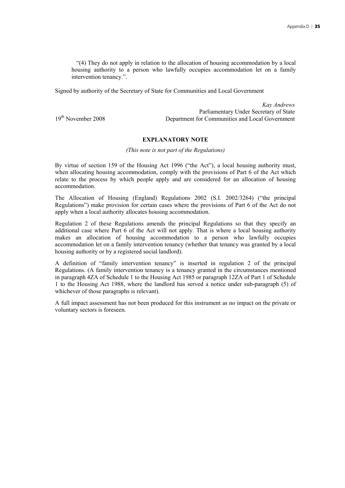"(4) They do not apply in relation to the allocation of housing accommodation by a local housing authority to a person who lawfully occupies accommodation let on a family intervention tenancy.".

Signed by authority of the Secretary of State for Communities and Local Government

*Kay Andrews* Parliamentary Under Secretary of State 19<sup>th</sup> November 2008 **Department for Communities and Local Government** 

#### **EXPLANATORY NOTE**

*(This note is not part of the Regulations)*

By virtue of section 159 of the Housing Act 1996 ("the Act"), a local housing authority must, when allocating housing accommodation, comply with the provisions of Part 6 of the Act which relate to the process by which people apply and are considered for an allocation of housing accommodation.

The Allocation of Housing (England) Regulations 2002 (S.I. 2002/3264) ("the principal Regulations") make provision for certain cases where the provisions of Part 6 of the Act do not apply when a local authority allocates housing accommodation.

Regulation 2 of these Regulations amends the principal Regulations so that they specify an additional case where Part 6 of the Act will not apply. That is where a local housing authority makes an allocation of housing accommodation to a person who lawfully occupies accommodation let on a family intervention tenancy (whether that tenancy was granted by a local housing authority or by a registered social landlord).

A definition of "family intervention tenancy" is inserted in regulation 2 of the principal Regulations. (A family intervention tenancy is a tenancy granted in the circumstances mentioned in paragraph 4ZA of Schedule 1 to the Housing Act 1985 or paragraph 12ZA of Part 1 of Schedule 1 to the Housing Act 1988, where the landlord has served a notice under sub-paragraph (5) of whichever of those paragraphs is relevant).

A full impact assessment has not been produced for this instrument as no impact on the private or voluntary sectors is foreseen.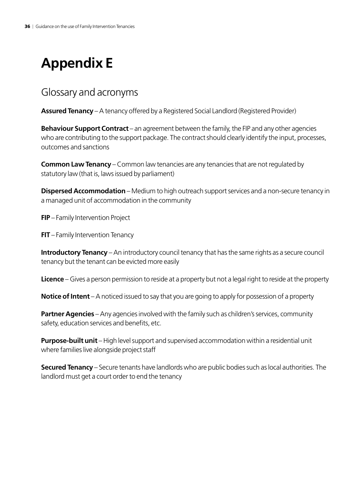# **Appendix E**

### Glossary and acronyms

**Assured Tenancy** – A tenancy offered by a Registered Social Landlord (Registered Provider)

**Behaviour Support Contract** – an agreement between the family, the FIP and any other agencies who are contributing to the support package. The contract should clearly identify the input, processes, outcomes and sanctions

**Common Law Tenancy** – Common law tenancies are any tenancies that are not regulated by statutory law (that is, laws issued by parliament)

**Dispersed Accommodation** – Medium to high outreach support services and a non-secure tenancy in a managed unit of accommodation in the community

**FIP** – Family Intervention Project

**FIT** – Family Intervention Tenancy

**Introductory Tenancy** – An introductory council tenancy that has the same rights as a secure council tenancy but the tenant can be evicted more easily

**Licence** – Gives a person permission to reside at a property but not a legal right to reside at the property

**Notice of Intent** – A noticed issued to say that you are going to apply for possession of a property

**Partner Agencies** – Any agencies involved with the family such as children's services, community safety, education services and benefits, etc.

**Purpose-built unit** – High level support and supervised accommodation within a residential unit where families live alongside project staff

**Secured Tenancy** – Secure tenants have landlords who are public bodies such as local authorities. The landlord must get a court order to end the tenancy